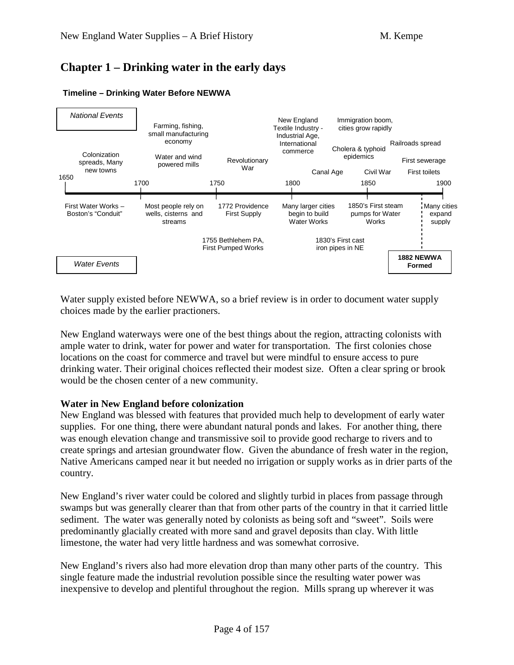# **Chapter 1 – Drinking water in the early days**



#### **Timeline – Drinking Water Before NEWWA**

Water supply existed before NEWWA, so a brief review is in order to document water supply choices made by the earlier practioners.

New England waterways were one of the best things about the region, attracting colonists with ample water to drink, water for power and water for transportation. The first colonies chose locations on the coast for commerce and travel but were mindful to ensure access to pure drinking water. Their original choices reflected their modest size. Often a clear spring or brook would be the chosen center of a new community.

### **Water in New England before colonization**

New England was blessed with features that provided much help to development of early water supplies. For one thing, there were abundant natural ponds and lakes. For another thing, there was enough elevation change and transmissive soil to provide good recharge to rivers and to create springs and artesian groundwater flow. Given the abundance of fresh water in the region, Native Americans camped near it but needed no irrigation or supply works as in drier parts of the country.

New England's river water could be colored and slightly turbid in places from passage through swamps but was generally clearer than that from other parts of the country in that it carried little sediment. The water was generally noted by colonists as being soft and "sweet". Soils were predominantly glacially created with more sand and gravel deposits than clay. With little limestone, the water had very little hardness and was somewhat corrosive.

New England's rivers also had more elevation drop than many other parts of the country. This single feature made the industrial revolution possible since the resulting water power was inexpensive to develop and plentiful throughout the region. Mills sprang up wherever it was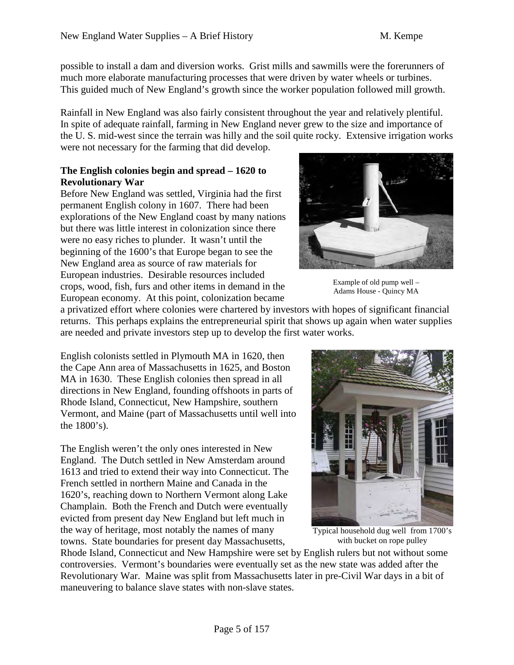possible to install a dam and diversion works. Grist mills and sawmills were the forerunners of much more elaborate manufacturing processes that were driven by water wheels or turbines. This guided much of New England's growth since the worker population followed mill growth.

Rainfall in New England was also fairly consistent throughout the year and relatively plentiful. In spite of adequate rainfall, farming in New England never grew to the size and importance of the U. S. mid-west since the terrain was hilly and the soil quite rocky. Extensive irrigation works were not necessary for the farming that did develop.

### **The English colonies begin and spread – 1620 to Revolutionary War**

Before New England was settled, Virginia had the first permanent English colony in 1607. There had been explorations of the New England coast by many nations but there was little interest in colonization since there were no easy riches to plunder. It wasn't until the beginning of the 1600's that Europe began to see the New England area as source of raw materials for European industries. Desirable resources included crops, wood, fish, furs and other items in demand in the European economy. At this point, colonization became



Example of old pump well – Adams House - Quincy MA

a privatized effort where colonies were chartered by investors with hopes of significant financial returns. This perhaps explains the entrepreneurial spirit that shows up again when water supplies are needed and private investors step up to develop the first water works.

English colonists settled in Plymouth MA in 1620, then the Cape Ann area of Massachusetts in 1625, and Boston MA in 1630. These English colonies then spread in all directions in New England, founding offshoots in parts of Rhode Island, Connecticut, New Hampshire, southern Vermont, and Maine (part of Massachusetts until well into the 1800's).

The English weren't the only ones interested in New England. The Dutch settled in New Amsterdam around 1613 and tried to extend their way into Connecticut. The French settled in northern Maine and Canada in the 1620's, reaching down to Northern Vermont along Lake Champlain. Both the French and Dutch were eventually evicted from present day New England but left much in the way of heritage, most notably the names of many towns. State boundaries for present day Massachusetts,



Typical household dug well from 1700's with bucket on rope pulley

Rhode Island, Connecticut and New Hampshire were set by English rulers but not without some controversies. Vermont's boundaries were eventually set as the new state was added after the Revolutionary War. Maine was split from Massachusetts later in pre-Civil War days in a bit of maneuvering to balance slave states with non-slave states.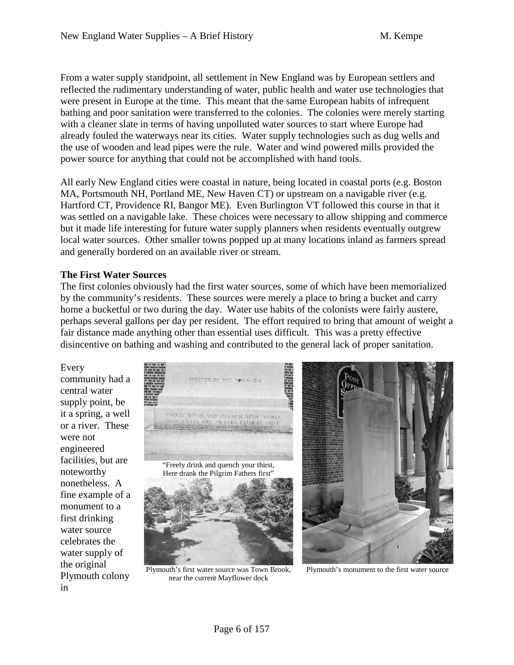From a water supply standpoint, all settlement in New England was by European settlers and reflected the rudimentary understanding of water, public health and water use technologies that were present in Europe at the time. This meant that the same European habits of infrequent bathing and poor sanitation were transferred to the colonies. The colonies were merely starting with a cleaner slate in terms of having unpolluted water sources to start where Europe had already fouled the waterways near its cities. Water supply technologies such as dug wells and the use of wooden and lead pipes were the rule. Water and wind powered mills provided the power source for anything that could not be accomplished with hand tools.

All early New England cities were coastal in nature, being located in coastal ports (e.g. Boston MA, Portsmouth NH, Portland ME, New Haven CT) or upstream on a navigable river (e.g. Hartford CT, Providence RI, Bangor ME). Even Burlington VT followed this course in that it was settled on a navigable lake. These choices were necessary to allow shipping and commerce but it made life interesting for future water supply planners when residents eventually outgrew local water sources. Other smaller towns popped up at many locations inland as farmers spread and generally bordered on an available river or stream.

### **The First Water Sources**

The first colonies obviously had the first water sources, some of which have been memorialized by the community's residents. These sources were merely a place to bring a bucket and carry home a bucketful or two during the day. Water use habits of the colonists were fairly austere, perhaps several gallons per day per resident. The effort required to bring that amount of weight a fair distance made anything other than essential uses difficult. This was a pretty effective disincentive on bathing and washing and contributed to the general lack of proper sanitation.

Every community had a central water supply point, be it a spring, a well or a river. These were not engineered facilities, but are noteworthy nonetheless. A fine example of a monument to a first drinking water source celebrates the water supply of the original Plymouth colony in



Plymouth's first water source was Town Brook, near the current Mayflower dock



Plymouth's monument to the first water source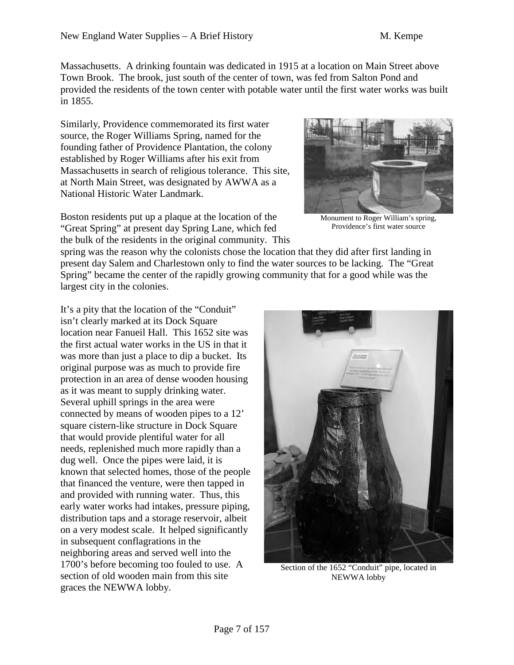Massachusetts. A drinking fountain was dedicated in 1915 at a location on Main Street above Town Brook. The brook, just south of the center of town, was fed from Salton Pond and provided the residents of the town center with potable water until the first water works was built in 1855.

Similarly, Providence commemorated its first water source, the Roger Williams Spring, named for the founding father of Providence Plantation, the colony established by Roger Williams after his exit from Massachusetts in search of religious tolerance. This site, at North Main Street, was designated by AWWA as a National Historic Water Landmark.



Monument to Roger William's spring, Providence's first water source

spring was the reason why the colonists chose the location that they did after first landing in present day Salem and Charlestown only to find the water sources to be lacking. The "Great Spring" became the center of the rapidly growing community that for a good while was the largest city in the colonies.

It's a pity that the location of the "Conduit" isn't clearly marked at its Dock Square location near Fanueil Hall. This 1652 site was the first actual water works in the US in that it was more than just a place to dip a bucket. Its original purpose was as much to provide fire protection in an area of dense wooden housing as it was meant to supply drinking water. Several uphill springs in the area were connected by means of wooden pipes to a 12' square cistern-like structure in Dock Square that would provide plentiful water for all needs, replenished much more rapidly than a dug well. Once the pipes were laid, it is known that selected homes, those of the people that financed the venture, were then tapped in and provided with running water. Thus, this early water works had intakes, pressure piping, distribution taps and a storage reservoir, albeit on a very modest scale. It helped significantly in subsequent conflagrations in the neighboring areas and served well into the 1700's before becoming too fouled to use. A section of old wooden main from this site graces the NEWWA lobby.



Section of the 1652 "Conduit" pipe, located in NEWWA lobby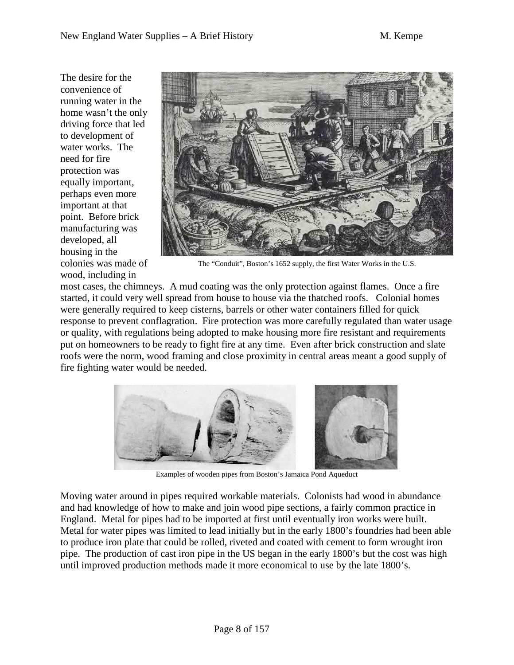The desire for the convenience of running water in the home wasn't the only driving force that led to development of water works. The need for fire protection was equally important, perhaps even more important at that point. Before brick manufacturing was developed, all housing in the colonies was made of wood, including in



The "Conduit", Boston's 1652 supply, the first Water Works in the U.S.

most cases, the chimneys. A mud coating was the only protection against flames. Once a fire started, it could very well spread from house to house via the thatched roofs. Colonial homes were generally required to keep cisterns, barrels or other water containers filled for quick response to prevent conflagration. Fire protection was more carefully regulated than water usage or quality, with regulations being adopted to make housing more fire resistant and requirements put on homeowners to be ready to fight fire at any time. Even after brick construction and slate roofs were the norm, wood framing and close proximity in central areas meant a good supply of fire fighting water would be needed.



Examples of wooden pipes from Boston's Jamaica Pond Aqueduct

Moving water around in pipes required workable materials. Colonists had wood in abundance and had knowledge of how to make and join wood pipe sections, a fairly common practice in England. Metal for pipes had to be imported at first until eventually iron works were built. Metal for water pipes was limited to lead initially but in the early 1800's foundries had been able to produce iron plate that could be rolled, riveted and coated with cement to form wrought iron pipe. The production of cast iron pipe in the US began in the early 1800's but the cost was high until improved production methods made it more economical to use by the late 1800's.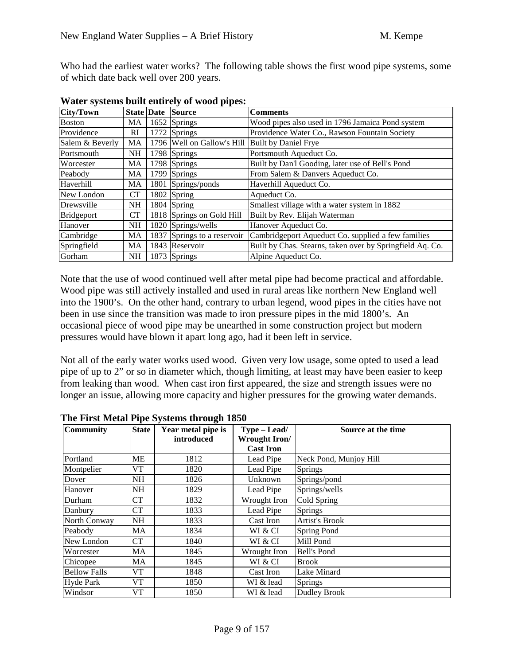Who had the earliest water works? The following table shows the first wood pipe systems, some of which date back well over 200 years.

| <b>City/Town</b> |           | <b>State Date Source</b>                            | <b>Comments</b>                                           |
|------------------|-----------|-----------------------------------------------------|-----------------------------------------------------------|
| <b>Boston</b>    | MA        | 1652 Springs                                        | Wood pipes also used in 1796 Jamaica Pond system          |
| Providence       | RI        | 1772 Springs                                        | Providence Water Co., Rawson Fountain Society             |
| Salem & Beverly  | <b>MA</b> | 1796   Well on Gallow's Hill   Built by Daniel Frye |                                                           |
| Portsmouth       | <b>NH</b> | 1798 Springs                                        | Portsmouth Aqueduct Co.                                   |
| Worcester        | MA        | 1798 Springs                                        | Built by Dan'l Gooding, later use of Bell's Pond          |
| Peabody          | MA        | 1799 Springs                                        | From Salem & Danvers Aqueduct Co.                         |
| Haverhill        | МA        | 1801 Springs/ponds                                  | Haverhill Aqueduct Co.                                    |
| New London       | CT        | 1802 Spring                                         | Aqueduct Co.                                              |
| Drewsville       | <b>NH</b> | $1804$ Spring                                       | Smallest village with a water system in 1882              |
| Bridgeport       | CT        | 1818 Springs on Gold Hill                           | Built by Rev. Elijah Waterman                             |
| Hanover          | <b>NH</b> | 1820 Springs/wells                                  | Hanover Aqueduct Co.                                      |
| Cambridge        | MA        | 1837 Springs to a reservoir                         | Cambridgeport Aqueduct Co. supplied a few families        |
| Springfield      | MA        | 1843 Reservoir                                      | Built by Chas. Stearns, taken over by Springfield Aq. Co. |
| Gorham           | <b>NH</b> | 1873 Springs                                        | Alpine Aqueduct Co.                                       |

**Water systems built entirely of wood pipes:** 

Note that the use of wood continued well after metal pipe had become practical and affordable. Wood pipe was still actively installed and used in rural areas like northern New England well into the 1900's. On the other hand, contrary to urban legend, wood pipes in the cities have not been in use since the transition was made to iron pressure pipes in the mid 1800's. An occasional piece of wood pipe may be unearthed in some construction project but modern pressures would have blown it apart long ago, had it been left in service.

Not all of the early water works used wood. Given very low usage, some opted to used a lead pipe of up to 2" or so in diameter which, though limiting, at least may have been easier to keep from leaking than wood. When cast iron first appeared, the size and strength issues were no longer an issue, allowing more capacity and higher pressures for the growing water demands.

| <b>Community</b>    | <b>State</b> | Year metal pipe is | $Type - Lead/$   | Source at the time     |  |
|---------------------|--------------|--------------------|------------------|------------------------|--|
|                     |              | introduced         | Wrought Iron/    |                        |  |
|                     |              |                    | <b>Cast Iron</b> |                        |  |
| Portland            | <b>ME</b>    | 1812               | Lead Pipe        | Neck Pond, Munjoy Hill |  |
| Montpelier          | VT           | 1820               | Lead Pipe        | <b>Springs</b>         |  |
| Dover               | <b>NH</b>    | 1826               | Unknown          | Springs/pond           |  |
| Hanover             | <b>NH</b>    | 1829               | Lead Pipe        | Springs/wells          |  |
| Durham              | <b>CT</b>    | 1832               | Wrought Iron     | Cold Spring            |  |
| Danbury             | <b>CT</b>    | 1833               | Lead Pipe        | <b>Springs</b>         |  |
| North Conway        | <b>NH</b>    | 1833               | Cast Iron        | Artist's Brook         |  |
| Peabody             | <b>MA</b>    | 1834               | WI & CI          | Spring Pond            |  |
| New London          | <b>CT</b>    | 1840               | WI & CI          | Mill Pond              |  |
| Worcester           | MA           | 1845               | Wrought Iron     | Bell's Pond            |  |
| Chicopee            | MA           | 1845               | WI & CI          | <b>Brook</b>           |  |
| <b>Bellow Falls</b> | V T          | 1848               | Cast Iron        | Lake Minard            |  |
| Hyde Park           | VT           | 1850               | WI & lead        | <b>Springs</b>         |  |
| Windsor             | VT           | 1850               | WI & lead        | Dudley Brook           |  |

**The First Metal Pipe Systems through 1850**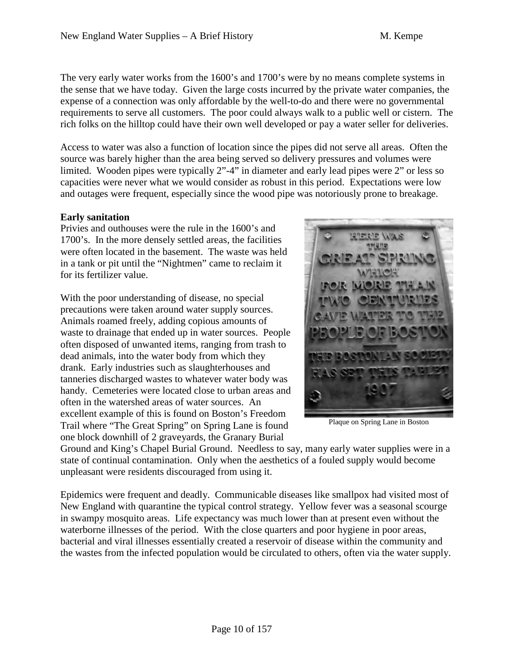The very early water works from the 1600's and 1700's were by no means complete systems in the sense that we have today. Given the large costs incurred by the private water companies, the expense of a connection was only affordable by the well-to-do and there were no governmental requirements to serve all customers. The poor could always walk to a public well or cistern. The rich folks on the hilltop could have their own well developed or pay a water seller for deliveries.

Access to water was also a function of location since the pipes did not serve all areas. Often the source was barely higher than the area being served so delivery pressures and volumes were limited. Wooden pipes were typically 2"-4" in diameter and early lead pipes were 2" or less so capacities were never what we would consider as robust in this period. Expectations were low and outages were frequent, especially since the wood pipe was notoriously prone to breakage.

### **Early sanitation**

Privies and outhouses were the rule in the 1600's and 1700's. In the more densely settled areas, the facilities were often located in the basement. The waste was held in a tank or pit until the "Nightmen" came to reclaim it for its fertilizer value.

With the poor understanding of disease, no special precautions were taken around water supply sources. Animals roamed freely, adding copious amounts of waste to drainage that ended up in water sources. People often disposed of unwanted items, ranging from trash to dead animals, into the water body from which they drank. Early industries such as slaughterhouses and tanneries discharged wastes to whatever water body was handy. Cemeteries were located close to urban areas and often in the watershed areas of water sources. An excellent example of this is found on Boston's Freedom Trail where "The Great Spring" on Spring Lane is found one block downhill of 2 graveyards, the Granary Burial



Plaque on Spring Lane in Boston

Ground and King's Chapel Burial Ground. Needless to say, many early water supplies were in a state of continual contamination. Only when the aesthetics of a fouled supply would become unpleasant were residents discouraged from using it.

Epidemics were frequent and deadly. Communicable diseases like smallpox had visited most of New England with quarantine the typical control strategy. Yellow fever was a seasonal scourge in swampy mosquito areas. Life expectancy was much lower than at present even without the waterborne illnesses of the period. With the close quarters and poor hygiene in poor areas, bacterial and viral illnesses essentially created a reservoir of disease within the community and the wastes from the infected population would be circulated to others, often via the water supply.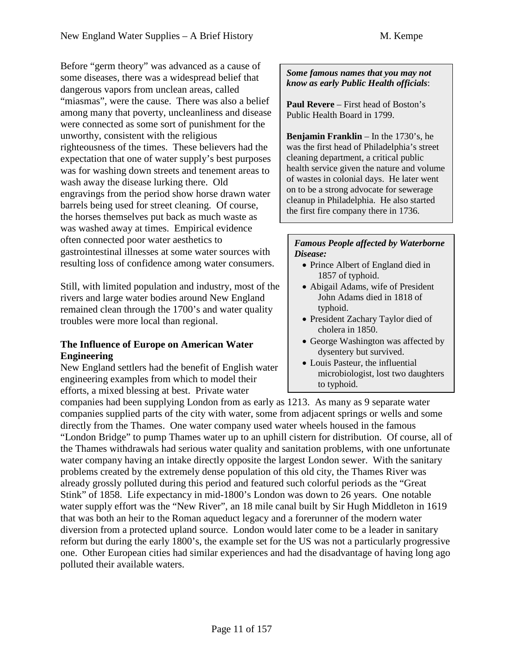Before "germ theory" was advanced as a cause of some diseases, there was a widespread belief that dangerous vapors from unclean areas, called "miasmas", were the cause. There was also a belief among many that poverty, uncleanliness and disease were connected as some sort of punishment for the unworthy, consistent with the religious righteousness of the times. These believers had the expectation that one of water supply's best purposes was for washing down streets and tenement areas to wash away the disease lurking there. Old engravings from the period show horse drawn water barrels being used for street cleaning. Of course, the horses themselves put back as much waste as was washed away at times. Empirical evidence often connected poor water aesthetics to gastrointestinal illnesses at some water sources with resulting loss of confidence among water consumers.

Still, with limited population and industry, most of the rivers and large water bodies around New England remained clean through the 1700's and water quality troubles were more local than regional.

### **The Influence of Europe on American Water Engineering**

New England settlers had the benefit of English water engineering examples from which to model their efforts, a mixed blessing at best. Private water

#### *Some famous names that you may not know as early Public Health officials*:

**Paul Revere** – First head of Boston's Public Health Board in 1799.

**Benjamin Franklin** – In the 1730's, he was the first head of Philadelphia's street cleaning department, a critical public health service given the nature and volume of wastes in colonial days. He later went on to be a strong advocate for sewerage cleanup in Philadelphia. He also started the first fire company there in 1736.

#### *Famous People affected by Waterborne Disease:*

- Prince Albert of England died in 1857 of typhoid.
- Abigail Adams, wife of President John Adams died in 1818 of typhoid.
- President Zachary Taylor died of cholera in 1850.
- George Washington was affected by dysentery but survived.
- Louis Pasteur, the influential microbiologist, lost two daughters to typhoid.

companies had been supplying London from as early as 1213. As many as 9 separate water companies supplied parts of the city with water, some from adjacent springs or wells and some directly from the Thames. One water company used water wheels housed in the famous "London Bridge" to pump Thames water up to an uphill cistern for distribution. Of course, all of the Thames withdrawals had serious water quality and sanitation problems, with one unfortunate water company having an intake directly opposite the largest London sewer. With the sanitary problems created by the extremely dense population of this old city, the Thames River was already grossly polluted during this period and featured such colorful periods as the "Great Stink" of 1858. Life expectancy in mid-1800's London was down to 26 years. One notable water supply effort was the "New River", an 18 mile canal built by Sir Hugh Middleton in 1619 that was both an heir to the Roman aqueduct legacy and a forerunner of the modern water diversion from a protected upland source. London would later come to be a leader in sanitary reform but during the early 1800's, the example set for the US was not a particularly progressive one. Other European cities had similar experiences and had the disadvantage of having long ago polluted their available waters.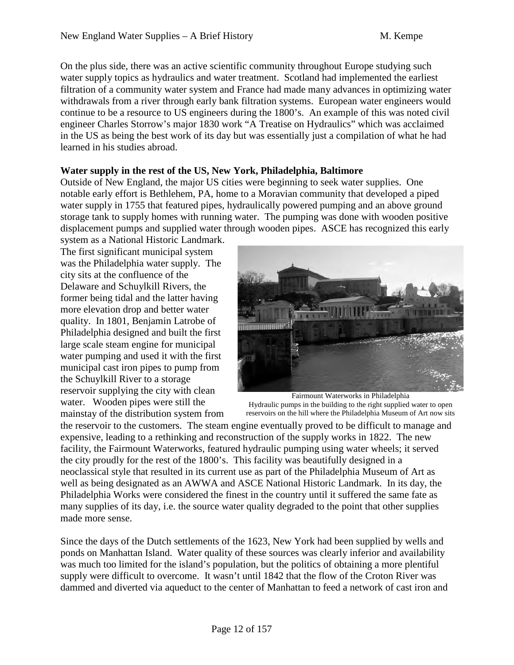On the plus side, there was an active scientific community throughout Europe studying such water supply topics as hydraulics and water treatment. Scotland had implemented the earliest filtration of a community water system and France had made many advances in optimizing water withdrawals from a river through early bank filtration systems. European water engineers would continue to be a resource to US engineers during the 1800's. An example of this was noted civil engineer Charles Storrow's major 1830 work "A Treatise on Hydraulics" which was acclaimed in the US as being the best work of its day but was essentially just a compilation of what he had learned in his studies abroad.

### **Water supply in the rest of the US, New York, Philadelphia, Baltimore**

Outside of New England, the major US cities were beginning to seek water supplies. One notable early effort is Bethlehem, PA, home to a Moravian community that developed a piped water supply in 1755 that featured pipes, hydraulically powered pumping and an above ground storage tank to supply homes with running water. The pumping was done with wooden positive displacement pumps and supplied water through wooden pipes. ASCE has recognized this early

system as a National Historic Landmark. The first significant municipal system was the Philadelphia water supply. The city sits at the confluence of the Delaware and Schuylkill Rivers, the former being tidal and the latter having more elevation drop and better water quality. In 1801, Benjamin Latrobe of Philadelphia designed and built the first large scale steam engine for municipal water pumping and used it with the first municipal cast iron pipes to pump from the Schuylkill River to a storage reservoir supplying the city with clean water. Wooden pipes were still the mainstay of the distribution system from



Fairmount Waterworks in Philadelphia Hydraulic pumps in the building to the right supplied water to open reservoirs on the hill where the Philadelphia Museum of Art now sits

the reservoir to the customers. The steam engine eventually proved to be difficult to manage and expensive, leading to a rethinking and reconstruction of the supply works in 1822. The new facility, the Fairmount Waterworks, featured hydraulic pumping using water wheels; it served the city proudly for the rest of the 1800's. This facility was beautifully designed in a neoclassical style that resulted in its current use as part of the Philadelphia Museum of Art as well as being designated as an AWWA and ASCE National Historic Landmark. In its day, the Philadelphia Works were considered the finest in the country until it suffered the same fate as many supplies of its day, i.e. the source water quality degraded to the point that other supplies made more sense.

Since the days of the Dutch settlements of the 1623, New York had been supplied by wells and ponds on Manhattan Island. Water quality of these sources was clearly inferior and availability was much too limited for the island's population, but the politics of obtaining a more plentiful supply were difficult to overcome. It wasn't until 1842 that the flow of the Croton River was dammed and diverted via aqueduct to the center of Manhattan to feed a network of cast iron and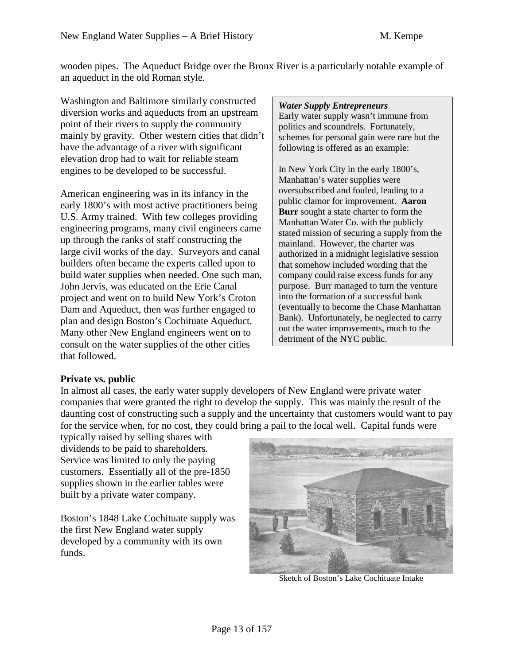wooden pipes. The Aqueduct Bridge over the Bronx River is a particularly notable example of an aqueduct in the old Roman style.

Washington and Baltimore similarly constructed diversion works and aqueducts from an upstream point of their rivers to supply the community mainly by gravity. Other western cities that didn't have the advantage of a river with significant elevation drop had to wait for reliable steam engines to be developed to be successful.

American engineering was in its infancy in the early 1800's with most active practitioners being U.S. Army trained. With few colleges providing engineering programs, many civil engineers came up through the ranks of staff constructing the large civil works of the day. Surveyors and canal builders often became the experts called upon to build water supplies when needed. One such man, John Jervis, was educated on the Erie Canal project and went on to build New York's Croton Dam and Aqueduct, then was further engaged to plan and design Boston's Cochituate Aqueduct. Many other New England engineers went on to consult on the water supplies of the other cities that followed.

#### *Water Supply Entrepreneurs*

Early water supply wasn't immune from politics and scoundrels. Fortunately, schemes for personal gain were rare but the following is offered as an example:

In New York City in the early 1800's, Manhattan's water supplies were oversubscribed and fouled, leading to a public clamor for improvement. **Aaron Burr** sought a state charter to form the Manhattan Water Co. with the publicly stated mission of securing a supply from the mainland. However, the charter was authorized in a midnight legislative session that somehow included wording that the company could raise excess funds for any purpose. Burr managed to turn the venture into the formation of a successful bank (eventually to become the Chase Manhattan Bank). Unfortunately, he neglected to carry out the water improvements, much to the detriment of the NYC public.

## **Private vs. public**

In almost all cases, the early water supply developers of New England were private water companies that were granted the right to develop the supply. This was mainly the result of the daunting cost of constructing such a supply and the uncertainty that customers would want to pay for the service when, for no cost, they could bring a pail to the local well. Capital funds were

typically raised by selling shares with dividends to be paid to shareholders. Service was limited to only the paying customers. Essentially all of the pre-1850 supplies shown in the earlier tables were built by a private water company.

Boston's 1848 Lake Cochituate supply was the first New England water supply developed by a community with its own funds.



Sketch of Boston's Lake Cochituate Intake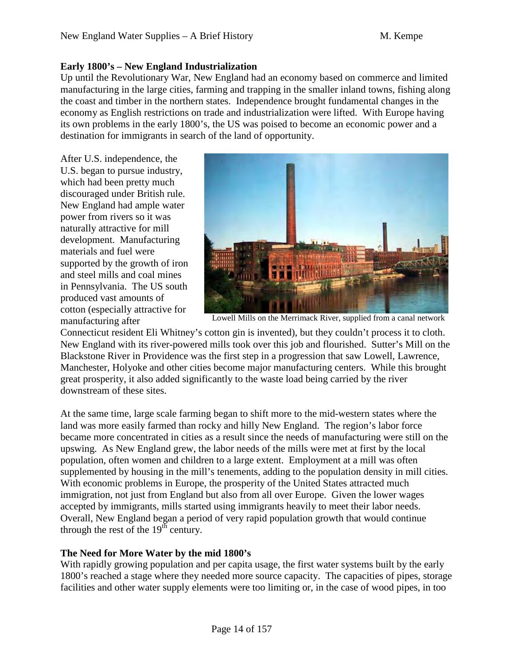### **Early 1800's – New England Industrialization**

Up until the Revolutionary War, New England had an economy based on commerce and limited manufacturing in the large cities, farming and trapping in the smaller inland towns, fishing along the coast and timber in the northern states. Independence brought fundamental changes in the economy as English restrictions on trade and industrialization were lifted. With Europe having its own problems in the early 1800's, the US was poised to become an economic power and a destination for immigrants in search of the land of opportunity.

After U.S. independence, the U.S. began to pursue industry, which had been pretty much discouraged under British rule. New England had ample water power from rivers so it was naturally attractive for mill development. Manufacturing materials and fuel were supported by the growth of iron and steel mills and coal mines in Pennsylvania. The US south produced vast amounts of cotton (especially attractive for manufacturing after



Lowell Mills on the Merrimack River, supplied from a canal network

Connecticut resident Eli Whitney's cotton gin is invented), but they couldn't process it to cloth. New England with its river-powered mills took over this job and flourished. Sutter's Mill on the Blackstone River in Providence was the first step in a progression that saw Lowell, Lawrence, Manchester, Holyoke and other cities become major manufacturing centers. While this brought great prosperity, it also added significantly to the waste load being carried by the river downstream of these sites.

At the same time, large scale farming began to shift more to the mid-western states where the land was more easily farmed than rocky and hilly New England. The region's labor force became more concentrated in cities as a result since the needs of manufacturing were still on the upswing. As New England grew, the labor needs of the mills were met at first by the local population, often women and children to a large extent. Employment at a mill was often supplemented by housing in the mill's tenements, adding to the population density in mill cities. With economic problems in Europe, the prosperity of the United States attracted much immigration, not just from England but also from all over Europe. Given the lower wages accepted by immigrants, mills started using immigrants heavily to meet their labor needs. Overall, New England began a period of very rapid population growth that would continue through the rest of the  $19<sup>th</sup>$  century.

### **The Need for More Water by the mid 1800's**

With rapidly growing population and per capita usage, the first water systems built by the early 1800's reached a stage where they needed more source capacity. The capacities of pipes, storage facilities and other water supply elements were too limiting or, in the case of wood pipes, in too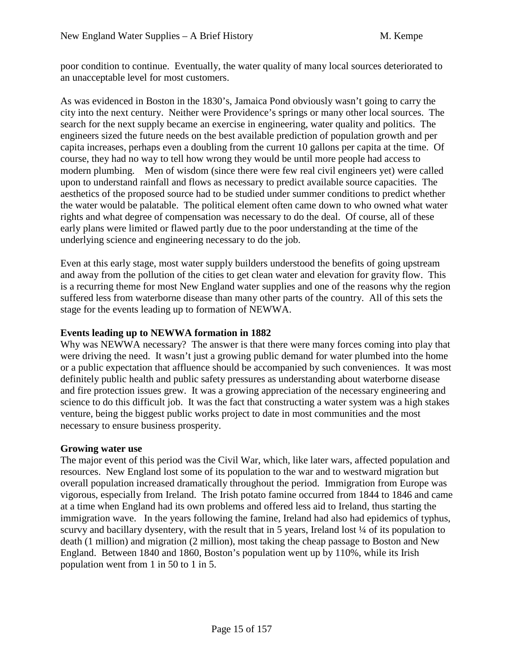poor condition to continue. Eventually, the water quality of many local sources deteriorated to an unacceptable level for most customers.

As was evidenced in Boston in the 1830's, Jamaica Pond obviously wasn't going to carry the city into the next century. Neither were Providence's springs or many other local sources. The search for the next supply became an exercise in engineering, water quality and politics. The engineers sized the future needs on the best available prediction of population growth and per capita increases, perhaps even a doubling from the current 10 gallons per capita at the time. Of course, they had no way to tell how wrong they would be until more people had access to modern plumbing. Men of wisdom (since there were few real civil engineers yet) were called upon to understand rainfall and flows as necessary to predict available source capacities. The aesthetics of the proposed source had to be studied under summer conditions to predict whether the water would be palatable. The political element often came down to who owned what water rights and what degree of compensation was necessary to do the deal. Of course, all of these early plans were limited or flawed partly due to the poor understanding at the time of the underlying science and engineering necessary to do the job.

Even at this early stage, most water supply builders understood the benefits of going upstream and away from the pollution of the cities to get clean water and elevation for gravity flow. This is a recurring theme for most New England water supplies and one of the reasons why the region suffered less from waterborne disease than many other parts of the country. All of this sets the stage for the events leading up to formation of NEWWA.

### **Events leading up to NEWWA formation in 1882**

Why was NEWWA necessary? The answer is that there were many forces coming into play that were driving the need. It wasn't just a growing public demand for water plumbed into the home or a public expectation that affluence should be accompanied by such conveniences. It was most definitely public health and public safety pressures as understanding about waterborne disease and fire protection issues grew. It was a growing appreciation of the necessary engineering and science to do this difficult job. It was the fact that constructing a water system was a high stakes venture, being the biggest public works project to date in most communities and the most necessary to ensure business prosperity.

### **Growing water use**

The major event of this period was the Civil War, which, like later wars, affected population and resources. New England lost some of its population to the war and to westward migration but overall population increased dramatically throughout the period. Immigration from Europe was vigorous, especially from Ireland. The Irish potato famine occurred from 1844 to 1846 and came at a time when England had its own problems and offered less aid to Ireland, thus starting the immigration wave. In the years following the famine, Ireland had also had epidemics of typhus, scurvy and bacillary dysentery, with the result that in 5 years, Ireland lost  $\frac{1}{4}$  of its population to death (1 million) and migration (2 million), most taking the cheap passage to Boston and New England. Between 1840 and 1860, Boston's population went up by 110%, while its Irish population went from 1 in 50 to 1 in 5.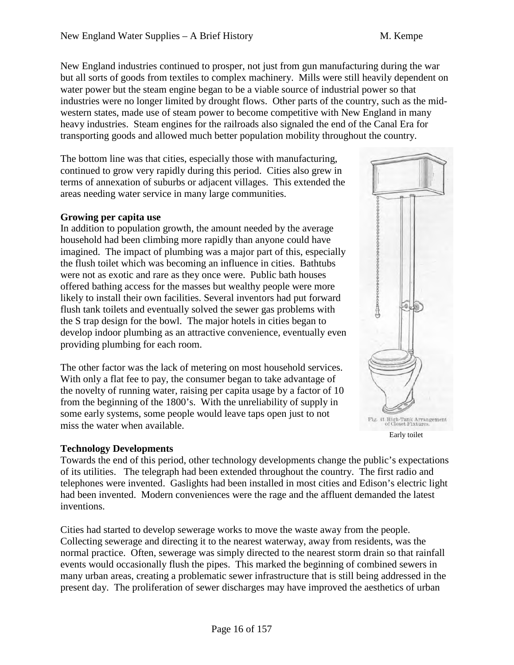New England industries continued to prosper, not just from gun manufacturing during the war but all sorts of goods from textiles to complex machinery. Mills were still heavily dependent on water power but the steam engine began to be a viable source of industrial power so that industries were no longer limited by drought flows. Other parts of the country, such as the midwestern states, made use of steam power to become competitive with New England in many heavy industries. Steam engines for the railroads also signaled the end of the Canal Era for transporting goods and allowed much better population mobility throughout the country.

The bottom line was that cities, especially those with manufacturing, continued to grow very rapidly during this period. Cities also grew in terms of annexation of suburbs or adjacent villages. This extended the areas needing water service in many large communities.

### **Growing per capita use**

In addition to population growth, the amount needed by the average household had been climbing more rapidly than anyone could have imagined. The impact of plumbing was a major part of this, especially the flush toilet which was becoming an influence in cities. Bathtubs were not as exotic and rare as they once were. Public bath houses offered bathing access for the masses but wealthy people were more likely to install their own facilities. Several inventors had put forward flush tank toilets and eventually solved the sewer gas problems with the S trap design for the bowl. The major hotels in cities began to develop indoor plumbing as an attractive convenience, eventually even providing plumbing for each room.

The other factor was the lack of metering on most household services. With only a flat fee to pay, the consumer began to take advantage of the novelty of running water, raising per capita usage by a factor of 10 from the beginning of the 1800's. With the unreliability of supply in some early systems, some people would leave taps open just to not miss the water when available.

### **Technology Developments**

Towards the end of this period, other technology developments change the public's expectations of its utilities. The telegraph had been extended throughout the country. The first radio and telephones were invented. Gaslights had been installed in most cities and Edison's electric light had been invented. Modern conveniences were the rage and the affluent demanded the latest inventions.

Cities had started to develop sewerage works to move the waste away from the people. Collecting sewerage and directing it to the nearest waterway, away from residents, was the normal practice. Often, sewerage was simply directed to the nearest storm drain so that rainfall events would occasionally flush the pipes. This marked the beginning of combined sewers in many urban areas, creating a problematic sewer infrastructure that is still being addressed in the present day. The proliferation of sewer discharges may have improved the aesthetics of urban

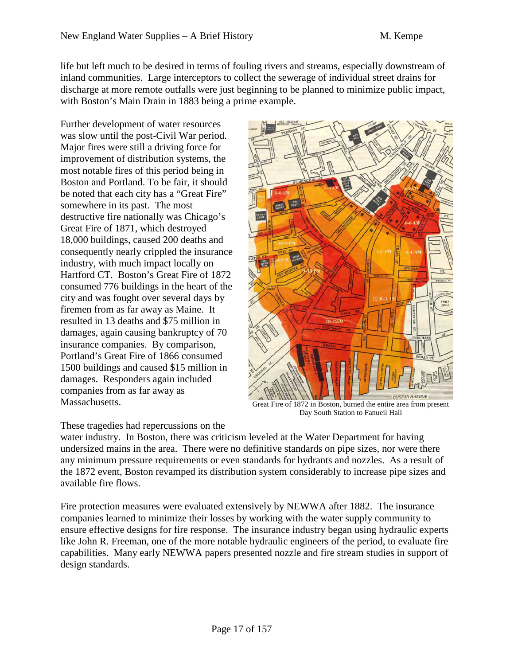life but left much to be desired in terms of fouling rivers and streams, especially downstream of inland communities. Large interceptors to collect the sewerage of individual street drains for discharge at more remote outfalls were just beginning to be planned to minimize public impact, with Boston's Main Drain in 1883 being a prime example.

Further development of water resources was slow until the post-Civil War period. Major fires were still a driving force for improvement of distribution systems, the most notable fires of this period being in Boston and Portland. To be fair, it should be noted that each city has a "Great Fire" somewhere in its past. The most destructive fire nationally was Chicago's Great Fire of 1871, which destroyed 18,000 buildings, caused 200 deaths and consequently nearly crippled the insurance industry, with much impact locally on Hartford CT. Boston's Great Fire of 1872 consumed 776 buildings in the heart of the city and was fought over several days by firemen from as far away as Maine. It resulted in 13 deaths and \$75 million in damages, again causing bankruptcy of 70 insurance companies. By comparison, Portland's Great Fire of 1866 consumed 1500 buildings and caused \$15 million in damages. Responders again included companies from as far away as Massachusetts.



Great Fire of 1872 in Boston, burned the entire area from present Day South Station to Fanueil Hall

### These tragedies had repercussions on the

water industry. In Boston, there was criticism leveled at the Water Department for having undersized mains in the area. There were no definitive standards on pipe sizes, nor were there any minimum pressure requirements or even standards for hydrants and nozzles. As a result of the 1872 event, Boston revamped its distribution system considerably to increase pipe sizes and available fire flows.

Fire protection measures were evaluated extensively by NEWWA after 1882. The insurance companies learned to minimize their losses by working with the water supply community to ensure effective designs for fire response. The insurance industry began using hydraulic experts like John R. Freeman, one of the more notable hydraulic engineers of the period, to evaluate fire capabilities. Many early NEWWA papers presented nozzle and fire stream studies in support of design standards.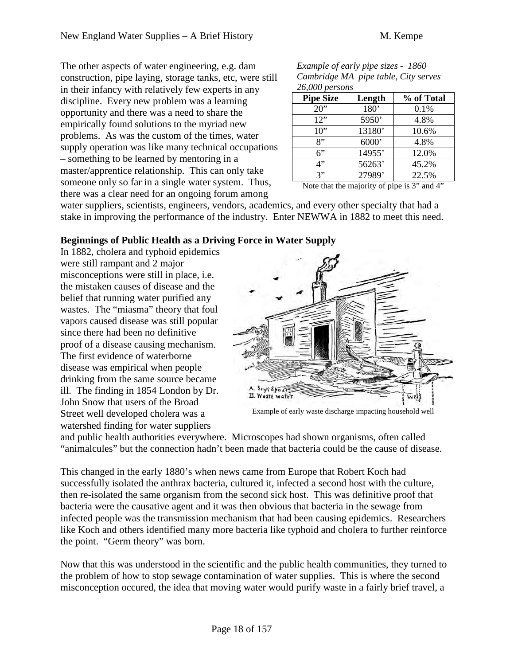The other aspects of water engineering, e.g. dam construction, pipe laying, storage tanks, etc, were still in their infancy with relatively few experts in any discipline. Every new problem was a learning opportunity and there was a need to share the empirically found solutions to the myriad new problems. As was the custom of the times, water supply operation was like many technical occupations – something to be learned by mentoring in a master/apprentice relationship. This can only take someone only so far in a single water system. Thus, there was a clear need for an ongoing forum among

*Example of early pipe sizes - 1860 Cambridge MA pipe table, City serves 26,000 persons* 

| $= 0,000$ pc. so. to |                  |            |  |  |  |  |  |
|----------------------|------------------|------------|--|--|--|--|--|
| <b>Pipe Size</b>     | Length           | % of Total |  |  |  |  |  |
| 20"                  | 180 <sup>*</sup> | 0.1%       |  |  |  |  |  |
| 12"                  | 5950'            | 4.8%       |  |  |  |  |  |
| 10"                  | 13180'           | 10.6%      |  |  |  |  |  |
| 8"                   | 6000'            | 4.8%       |  |  |  |  |  |
| 6"                   | 14955'           | 12.0%      |  |  |  |  |  |
| 4"                   | 56263'           | 45.2%      |  |  |  |  |  |
| 3"                   | 27989'           | 22.5%      |  |  |  |  |  |

Note that the majority of pipe is 3" and 4"

water suppliers, scientists, engineers, vendors, academics, and every other specialty that had a stake in improving the performance of the industry. Enter NEWWA in 1882 to meet this need.

# **Beginnings of Public Health as a Driving Force in Water Supply**

In 1882, cholera and typhoid epidemics were still rampant and 2 major misconceptions were still in place, i.e. the mistaken causes of disease and the belief that running water purified any wastes. The "miasma" theory that foul vapors caused disease was still popular since there had been no definitive proof of a disease causing mechanism. The first evidence of waterborne disease was empirical when people drinking from the same source became ill. The finding in 1854 London by Dr. John Snow that users of the Broad Street well developed cholera was a watershed finding for water suppliers



Example of early waste discharge impacting household well

and public health authorities everywhere. Microscopes had shown organisms, often called "animalcules" but the connection hadn't been made that bacteria could be the cause of disease.

This changed in the early 1880's when news came from Europe that Robert Koch had successfully isolated the anthrax bacteria, cultured it, infected a second host with the culture, then re-isolated the same organism from the second sick host. This was definitive proof that bacteria were the causative agent and it was then obvious that bacteria in the sewage from infected people was the transmission mechanism that had been causing epidemics. Researchers like Koch and others identified many more bacteria like typhoid and cholera to further reinforce the point. "Germ theory" was born.

Now that this was understood in the scientific and the public health communities, they turned to the problem of how to stop sewage contamination of water supplies. This is where the second misconception occured, the idea that moving water would purify waste in a fairly brief travel, a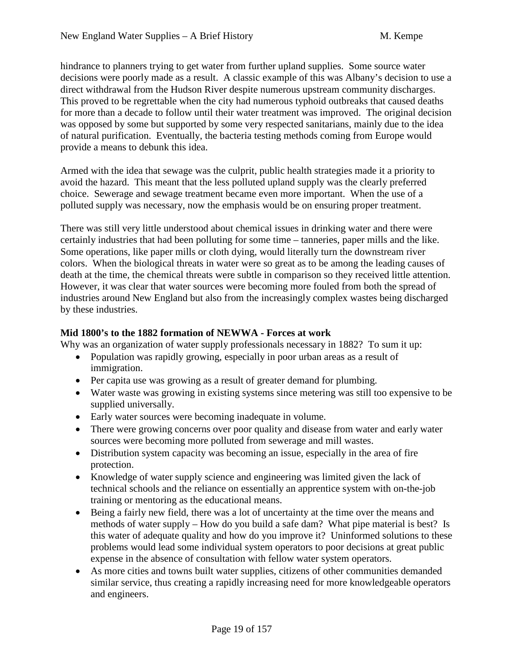hindrance to planners trying to get water from further upland supplies. Some source water decisions were poorly made as a result. A classic example of this was Albany's decision to use a direct withdrawal from the Hudson River despite numerous upstream community discharges. This proved to be regrettable when the city had numerous typhoid outbreaks that caused deaths for more than a decade to follow until their water treatment was improved. The original decision was opposed by some but supported by some very respected sanitarians, mainly due to the idea of natural purification. Eventually, the bacteria testing methods coming from Europe would provide a means to debunk this idea.

Armed with the idea that sewage was the culprit, public health strategies made it a priority to avoid the hazard. This meant that the less polluted upland supply was the clearly preferred choice. Sewerage and sewage treatment became even more important. When the use of a polluted supply was necessary, now the emphasis would be on ensuring proper treatment.

There was still very little understood about chemical issues in drinking water and there were certainly industries that had been polluting for some time – tanneries, paper mills and the like. Some operations, like paper mills or cloth dying, would literally turn the downstream river colors. When the biological threats in water were so great as to be among the leading causes of death at the time, the chemical threats were subtle in comparison so they received little attention. However, it was clear that water sources were becoming more fouled from both the spread of industries around New England but also from the increasingly complex wastes being discharged by these industries.

### **Mid 1800's to the 1882 formation of NEWWA - Forces at work**

Why was an organization of water supply professionals necessary in 1882? To sum it up:

- Population was rapidly growing, especially in poor urban areas as a result of immigration.
- Per capita use was growing as a result of greater demand for plumbing.
- Water waste was growing in existing systems since metering was still too expensive to be supplied universally.
- Early water sources were becoming inadequate in volume.
- There were growing concerns over poor quality and disease from water and early water sources were becoming more polluted from sewerage and mill wastes.
- Distribution system capacity was becoming an issue, especially in the area of fire protection.
- Knowledge of water supply science and engineering was limited given the lack of technical schools and the reliance on essentially an apprentice system with on-the-job training or mentoring as the educational means.
- Being a fairly new field, there was a lot of uncertainty at the time over the means and methods of water supply – How do you build a safe dam? What pipe material is best? Is this water of adequate quality and how do you improve it? Uninformed solutions to these problems would lead some individual system operators to poor decisions at great public expense in the absence of consultation with fellow water system operators.
- As more cities and towns built water supplies, citizens of other communities demanded similar service, thus creating a rapidly increasing need for more knowledgeable operators and engineers.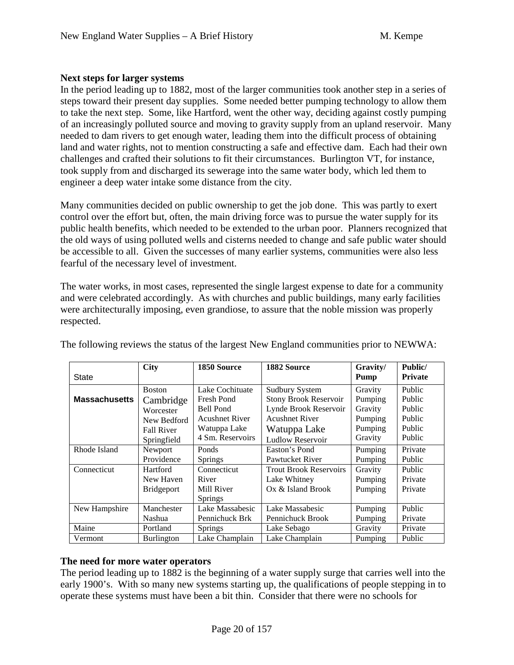### **Next steps for larger systems**

In the period leading up to 1882, most of the larger communities took another step in a series of steps toward their present day supplies. Some needed better pumping technology to allow them to take the next step. Some, like Hartford, went the other way, deciding against costly pumping of an increasingly polluted source and moving to gravity supply from an upland reservoir. Many needed to dam rivers to get enough water, leading them into the difficult process of obtaining land and water rights, not to mention constructing a safe and effective dam. Each had their own challenges and crafted their solutions to fit their circumstances. Burlington VT, for instance, took supply from and discharged its sewerage into the same water body, which led them to engineer a deep water intake some distance from the city.

Many communities decided on public ownership to get the job done. This was partly to exert control over the effort but, often, the main driving force was to pursue the water supply for its public health benefits, which needed to be extended to the urban poor. Planners recognized that the old ways of using polluted wells and cisterns needed to change and safe public water should be accessible to all. Given the successes of many earlier systems, communities were also less fearful of the necessary level of investment.

The water works, in most cases, represented the single largest expense to date for a community and were celebrated accordingly. As with churches and public buildings, many early facilities were architecturally imposing, even grandiose, to assure that the noble mission was properly respected.

|                      | <b>City</b>       | 1850 Source           | 1882 Source                   | Gravity/ | Public/        |
|----------------------|-------------------|-----------------------|-------------------------------|----------|----------------|
| State                |                   |                       |                               | Pump     | <b>Private</b> |
|                      | <b>Boston</b>     | Lake Cochituate       | <b>Sudbury System</b>         | Gravity  | Public         |
| <b>Massachusetts</b> | Cambridge         | Fresh Pond            | Stony Brook Reservoir         | Pumping  | Public         |
|                      | Worcester         | <b>Bell Pond</b>      | Lynde Brook Reservoir         | Gravity  | Public         |
|                      | New Bedford       | <b>Acushnet River</b> | <b>Acushnet River</b>         | Pumping  | Public         |
|                      | <b>Fall River</b> | Watuppa Lake          | Watuppa Lake                  | Pumping  | Public         |
|                      | Springfield       | 4 Sm. Reservoirs      | <b>Ludlow Reservoir</b>       | Gravity  | Public         |
| Rhode Island         | Newport           | Ponds                 | Easton's Pond                 | Pumping  | Private        |
|                      | Providence        | <b>Springs</b>        | Pawtucket River               | Pumping  | Public         |
| Connecticut          | Hartford          | Connecticut           | <b>Trout Brook Reservoirs</b> | Gravity  | Public         |
|                      | New Haven         | River                 | Lake Whitney                  | Pumping  | Private        |
|                      | <b>Bridgeport</b> | Mill River            | Ox & Island Brook             | Pumping  | Private        |
|                      |                   | <b>Springs</b>        |                               |          |                |
| New Hampshire        | Manchester        | Lake Massabesic       | Lake Massabesic               | Pumping  | Public         |
|                      | Nashua            | Pennichuck Brk        | Pennichuck Brook              | Pumping  | Private        |
| Maine                | Portland          | <b>Springs</b>        | Lake Sebago                   | Gravity  | Private        |
| Vermont              | Burlington        | Lake Champlain        | Lake Champlain                | Pumping  | Public         |

The following reviews the status of the largest New England communities prior to NEWWA:

### **The need for more water operators**

The period leading up to 1882 is the beginning of a water supply surge that carries well into the early 1900's. With so many new systems starting up, the qualifications of people stepping in to operate these systems must have been a bit thin. Consider that there were no schools for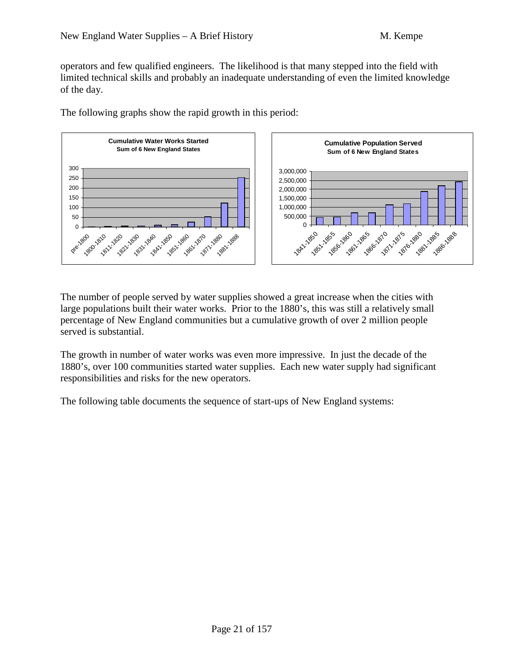operators and few qualified engineers. The likelihood is that many stepped into the field with limited technical skills and probably an inadequate understanding of even the limited knowledge of the day.



The following graphs show the rapid growth in this period:

The number of people served by water supplies showed a great increase when the cities with large populations built their water works. Prior to the 1880's, this was still a relatively small percentage of New England communities but a cumulative growth of over 2 million people served is substantial.

The growth in number of water works was even more impressive. In just the decade of the 1880's, over 100 communities started water supplies. Each new water supply had significant responsibilities and risks for the new operators.

The following table documents the sequence of start-ups of New England systems: